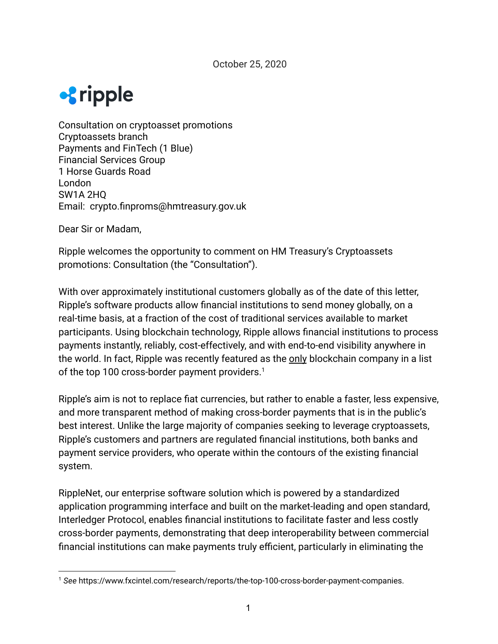

Consultation on cryptoasset promotions Cryptoassets branch Payments and FinTech (1 Blue) Financial Services Group 1 Horse Guards Road London SW1A 2HQ Email: crypto.finproms@hmtreasury.gov.uk

Dear Sir or Madam,

Ripple welcomes the opportunity to comment on HM Treasury's Cryptoassets promotions: Consultation (the "Consultation").

With over approximately institutional customers globally as of the date of this letter, Ripple's software products allow financial institutions to send money globally, on a real-time basis, at a fraction of the cost of traditional services available to market participants. Using blockchain technology, Ripple allows financial institutions to process payments instantly, reliably, cost-effectively, and with end-to-end visibility anywhere in the world. In fact, Ripple was recently featured as the only blockchain company in a list of the top 100 cross-border payment providers.<sup>1</sup>

Ripple's aim is not to replace fiat currencies, but rather to enable a faster, less expensive, and more transparent method of making cross-border payments that is in the public's best interest. Unlike the large majority of companies seeking to leverage cryptoassets, Ripple's customers and partners are regulated financial institutions, both banks and payment service providers, who operate within the contours of the existing financial system.

RippleNet, our enterprise software solution which is powered by a standardized application programming interface and built on the market-leading and open standard, Interledger Protocol, enables financial institutions to facilitate faster and less costly cross-border payments, demonstrating that deep interoperability between commercial financial institutions can make payments truly efficient, particularly in eliminating the

<sup>1</sup> *See* https://www.fxcintel.com/research/reports/the-top-100-cross-border-payment-companies.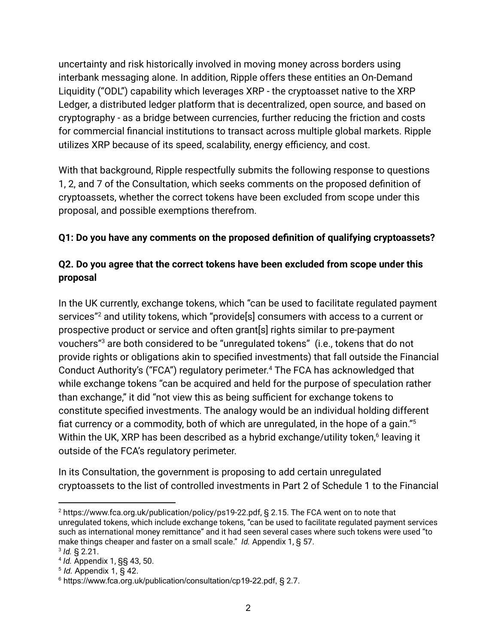uncertainty and risk historically involved in moving money across borders using interbank messaging alone. In addition, Ripple offers these entities an On-Demand Liquidity ("ODL") capability which leverages XRP - the cryptoasset native to the XRP Ledger, a distributed ledger platform that is decentralized, open source, and based on cryptography - as a bridge between currencies, further reducing the friction and costs for commercial financial institutions to transact across multiple global markets. Ripple utilizes XRP because of its speed, scalability, energy efficiency, and cost.

With that background, Ripple respectfully submits the following response to questions 1, 2, and 7 of the Consultation, which seeks comments on the proposed definition of cryptoassets, whether the correct tokens have been excluded from scope under this proposal, and possible exemptions therefrom.

## **Q1: Do you have any comments on the proposed definition of qualifying cryptoassets?**

## **Q2. Do you agree that the correct tokens have been excluded from scope under this proposal**

In the UK currently, exchange tokens, which "can be used to facilitate regulated payment services"<sup>2</sup> and utility tokens, which "provide<sup>[s]</sup> consumers with access to a current or prospective product or service and often grant[s] rights similar to pre-payment vouchers"<sup>3</sup> are both considered to be "unregulated tokens" (i.e., tokens that do not provide rights or obligations akin to specified investments) that fall outside the Financial Conduct Authority's ("FCA") regulatory perimeter.<sup>4</sup> The FCA has acknowledged that while exchange tokens "can be acquired and held for the purpose of speculation rather than exchange," it did "not view this as being sufficient for exchange tokens to constitute specified investments. The analogy would be an individual holding different fiat currency or a commodity, both of which are unregulated, in the hope of a gain."<sup>5</sup> Within the UK, XRP has been described as a hybrid exchange/utility token, $6$  leaving it outside of the FCA's regulatory perimeter.

In its Consultation, the government is proposing to add certain unregulated cryptoassets to the list of controlled investments in Part 2 of Schedule 1 to the Financial

<sup>2</sup> https://www.fca.org.uk/publication/policy/ps19-22.pdf, § 2.15. The FCA went on to note that unregulated tokens, which include exchange tokens, "can be used to facilitate regulated payment services such as international money remittance" and it had seen several cases where such tokens were used "to make things cheaper and faster on a small scale." *Id.* Appendix 1, § 57. 3 *Id.* § 2.21.

<sup>4</sup> *Id.* Appendix 1, §§ 43, 50.

<sup>5</sup> *Id.* Appendix 1, § 42.

<sup>&</sup>lt;sup>6</sup> https://www.fca.org.uk/publication/consultation/cp19-22.pdf, § 2.7.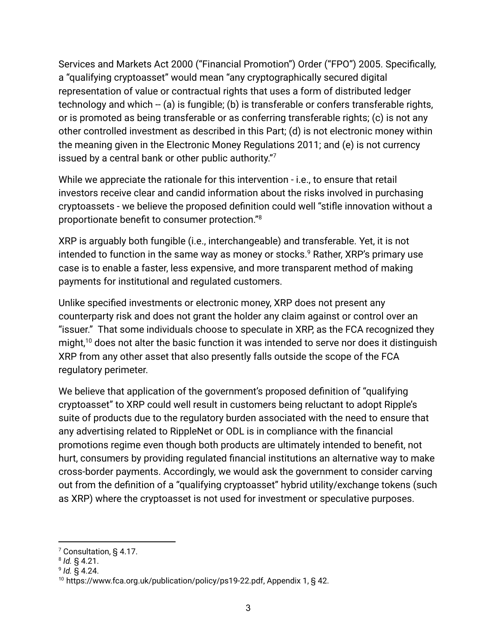Services and Markets Act 2000 ("Financial Promotion") Order ("FPO") 2005. Specifically, a "qualifying cryptoasset" would mean "any cryptographically secured digital representation of value or contractual rights that uses a form of distributed ledger technology and which -- (a) is fungible; (b) is transferable or confers transferable rights, or is promoted as being transferable or as conferring transferable rights; (c) is not any other controlled investment as described in this Part; (d) is not electronic money within the meaning given in the Electronic Money Regulations 2011; and (e) is not currency issued by a central bank or other public authority."<sup>7</sup>

While we appreciate the rationale for this intervention - i.e., to ensure that retail investors receive clear and candid information about the risks involved in purchasing cryptoassets - we believe the proposed definition could well "stifle innovation without a proportionate benefit to consumer protection."<sup>8</sup>

XRP is arguably both fungible (i.e., interchangeable) and transferable. Yet, it is not intended to function in the same way as money or stocks. $9$  Rather, XRP's primary use case is to enable a faster, less expensive, and more transparent method of making payments for institutional and regulated customers.

Unlike specified investments or electronic money, XRP does not present any counterparty risk and does not grant the holder any claim against or control over an "issuer." That some individuals choose to speculate in XRP, as the FCA recognized they might, $10$  does not alter the basic function it was intended to serve nor does it distinguish XRP from any other asset that also presently falls outside the scope of the FCA regulatory perimeter.

We believe that application of the government's proposed definition of "qualifying cryptoasset" to XRP could well result in customers being reluctant to adopt Ripple's suite of products due to the regulatory burden associated with the need to ensure that any advertising related to RippleNet or ODL is in compliance with the financial promotions regime even though both products are ultimately intended to benefit, not hurt, consumers by providing regulated financial institutions an alternative way to make cross-border payments. Accordingly, we would ask the government to consider carving out from the definition of a "qualifying cryptoasset" hybrid utility/exchange tokens (such as XRP) where the cryptoasset is not used for investment or speculative purposes.

<sup>7</sup> Consultation, § 4.17.

<sup>8</sup> *Id.* § 4.21.

<sup>9</sup> *Id.* § 4.24.

<sup>&</sup>lt;sup>10</sup> https://www.fca.org.uk/publication/policy/ps19-22.pdf, Appendix 1, § 42.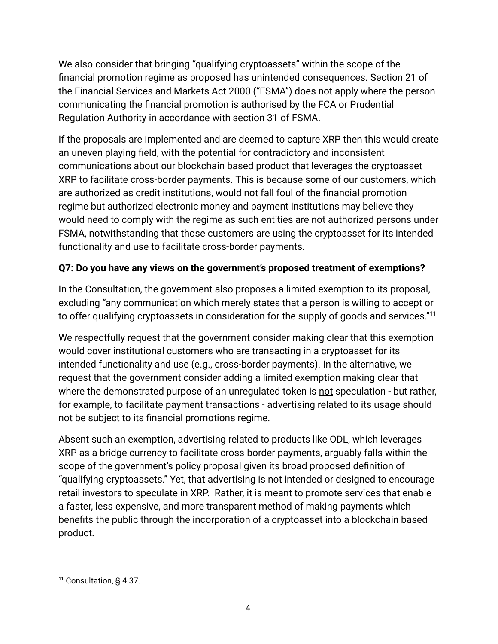We also consider that bringing "qualifying cryptoassets" within the scope of the financial promotion regime as proposed has unintended consequences. Section 21 of the Financial Services and Markets Act 2000 ("FSMA") does not apply where the person communicating the financial promotion is authorised by the FCA or Prudential Regulation Authority in accordance with section 31 of FSMA.

If the proposals are implemented and are deemed to capture XRP then this would create an uneven playing field, with the potential for contradictory and inconsistent communications about our blockchain based product that leverages the cryptoasset XRP to facilitate cross-border payments. This is because some of our customers, which are authorized as credit institutions, would not fall foul of the financial promotion regime but authorized electronic money and payment institutions may believe they would need to comply with the regime as such entities are not authorized persons under FSMA, notwithstanding that those customers are using the cryptoasset for its intended functionality and use to facilitate cross-border payments.

## **Q7: Do you have any views on the government's proposed treatment of exemptions?**

In the Consultation, the government also proposes a limited exemption to its proposal, excluding "any communication which merely states that a person is willing to accept or to offer qualifying cryptoassets in consideration for the supply of goods and services."<sup>11</sup>

We respectfully request that the government consider making clear that this exemption would cover institutional customers who are transacting in a cryptoasset for its intended functionality and use (e.g., cross-border payments). In the alternative, we request that the government consider adding a limited exemption making clear that where the demonstrated purpose of an unregulated token is not speculation - but rather, for example, to facilitate payment transactions - advertising related to its usage should not be subject to its financial promotions regime.

Absent such an exemption, advertising related to products like ODL, which leverages XRP as a bridge currency to facilitate cross-border payments, arguably falls within the scope of the government's policy proposal given its broad proposed definition of "qualifying cryptoassets." Yet, that advertising is not intended or designed to encourage retail investors to speculate in XRP. Rather, it is meant to promote services that enable a faster, less expensive, and more transparent method of making payments which benefits the public through the incorporation of a cryptoasset into a blockchain based product.

<sup>&</sup>lt;sup>11</sup> Consultation, § 4.37.